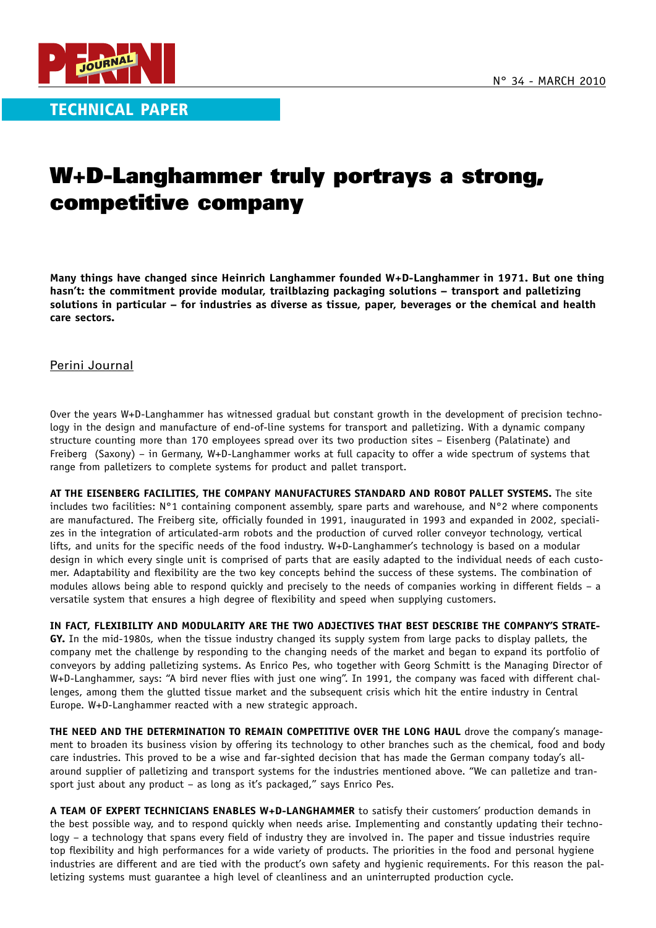

TECHNICAL PAPER

## W+D-Langhammer truly portrays a strong, competitive company

**Many things have changed since Heinrich Langhammer founded W+D-Langhammer in 1971. But one thing hasn't: the commitment provide modular, trailblazing packaging solutions – transport and palletizing solutions in particular – for industries as diverse as tissue, paper, beverages or the chemical and health care sectors.**

Perini Journal

Over the years W+D-Langhammer has witnessed gradual but constant growth in the development of precision technology in the design and manufacture of end-of-line systems for transport and palletizing. With a dynamic company structure counting more than 170 employees spread over its two production sites – Eisenberg (Palatinate) and Freiberg (Saxony) – in Germany, W+D-Langhammer works at full capacity to offer a wide spectrum of systems that range from palletizers to complete systems for product and pallet transport.

**AT THE EISENBERG FACILITIES, THE COMPANY MANUFACTURES STANDARD AND ROBOT PALLET SYSTEMS.** The site includes two facilities: N°1 containing component assembly, spare parts and warehouse, and N°2 where components are manufactured. The Freiberg site, officially founded in 1991, inaugurated in 1993 and expanded in 2002, specializes in the integration of articulated-arm robots and the production of curved roller conveyor technology, vertical lifts, and units for the specific needs of the food industry. W+D-Langhammer's technology is based on a modular design in which every single unit is comprised of parts that are easily adapted to the individual needs of each customer. Adaptability and flexibility are the two key concepts behind the success of these systems. The combination of modules allows being able to respond quickly and precisely to the needs of companies working in different fields – a versatile system that ensures a high degree of flexibility and speed when supplying customers.

**IN FACT, FLEXIBILITY AND MODULARITY ARE THE TWO ADJECTIVES THAT BEST DESCRIBE THE COMPANY'S STRATE-GY.** In the mid-1980s, when the tissue industry changed its supply system from large packs to display pallets, the company met the challenge by responding to the changing needs of the market and began to expand its portfolio of conveyors by adding palletizing systems. As Enrico Pes, who together with Georg Schmitt is the Managing Director of W+D-Langhammer, says: "A bird never flies with just one wing". In 1991, the company was faced with different challenges, among them the glutted tissue market and the subsequent crisis which hit the entire industry in Central Europe. W+D-Langhammer reacted with a new strategic approach.

**THE NEED AND THE DETERMINATION TO REMAIN COMPETITIVE OVER THE LONG HAUL** drove the company's management to broaden its business vision by offering its technology to other branches such as the chemical, food and body care industries. This proved to be a wise and far-sighted decision that has made the German company today's allaround supplier of palletizing and transport systems for the industries mentioned above. "We can palletize and transport just about any product – as long as it's packaged," says Enrico Pes.

**A TEAM OF EXPERT TECHNICIANS ENABLES W+D-LANGHAMMER** to satisfy their customers' production demands in the best possible way, and to respond quickly when needs arise. Implementing and constantly updating their technology – a technology that spans every field of industry they are involved in. The paper and tissue industries require top flexibility and high performances for a wide variety of products. The priorities in the food and personal hygiene industries are different and are tied with the product's own safety and hygienic requirements. For this reason the palletizing systems must guarantee a high level of cleanliness and an uninterrupted production cycle.